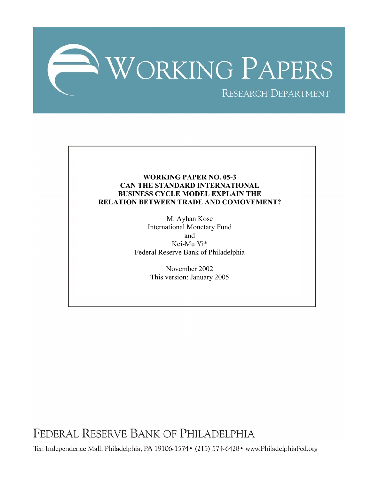

# **WORKING PAPER NO. 05-3 CAN THE STANDARD INTERNATIONAL BUSINESS CYCLE MODEL EXPLAIN THE RELATION BETWEEN TRADE AND COMOVEMENT?**

M. Ayhan Kose International Monetary Fund and Kei-Mu Yi\* Federal Reserve Bank of Philadelphia

> November 2002 This version: January 2005

FEDERAL RESERVE BANK OF PHILADELPHIA

Ten Independence Mall, Philadelphia, PA 19106-1574• (215) 574-6428• www.PhiladelphiaFed.org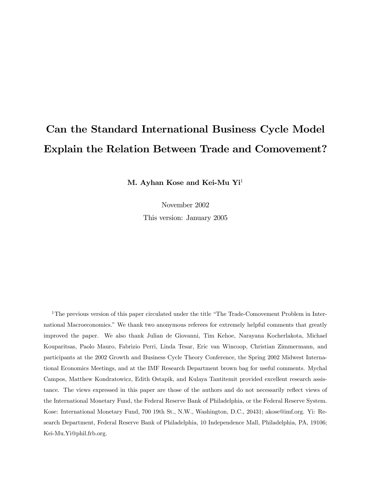# Can the Standard International Business Cycle Model Explain the Relation Between Trade and Comovement?

M. Ayhan Kose and Kei-Mu Yi<sup>1</sup>

November 2002 This version: January 2005

<sup>1</sup>The previous version of this paper circulated under the title "The Trade-Comovement Problem in International Macroeconomics." We thank two anonymous referees for extremely helpful comments that greatly improved the paper. We also thank Julian de Giovanni, Tim Kehoe, Narayana Kocherlakota, Michael Kouparitsas, Paolo Mauro, Fabrizio Perri, Linda Tesar, Eric van Wincoop, Christian Zimmermann, and participants at the 2002 Growth and Business Cycle Theory Conference, the Spring 2002 Midwest International Economics Meetings, and at the IMF Research Department brown bag for useful comments. Mychal Campos, Matthew Kondratowicz, Edith Ostapik, and Kulaya Tantitemit provided excellent research assistance. The views expressed in this paper are those of the authors and do not necessarily reflect views of the International Monetary Fund, the Federal Reserve Bank of Philadelphia, or the Federal Reserve System. Kose: International Monetary Fund, 700 19th St., N.W., Washington, D.C., 20431; akose@imf.org. Yi: Research Department, Federal Reserve Bank of Philadelphia, 10 Independence Mall, Philadelphia, PA, 19106; Kei-Mu.Yi@phil.frb.org.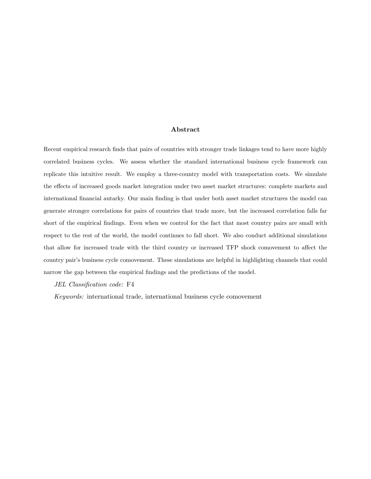#### Abstract

Recent empirical research finds that pairs of countries with stronger trade linkages tend to have more highly correlated business cycles. We assess whether the standard international business cycle framework can replicate this intuitive result. We employ a three-country model with transportation costs. We simulate the effects of increased goods market integration under two asset market structures: complete markets and international financial autarky. Our main finding is that under both asset market structures the model can generate stronger correlations for pairs of countries that trade more, but the increased correlation falls far short of the empirical findings. Even when we control for the fact that most country pairs are small with respect to the rest of the world, the model continues to fall short. We also conduct additional simulations that allow for increased trade with the third country or increased TFP shock comovement to affect the country pair's business cycle comovement. These simulations are helpful in highlighting channels that could narrow the gap between the empirical findings and the predictions of the model.

JEL Classification code: F4

Keywords: international trade, international business cycle comovement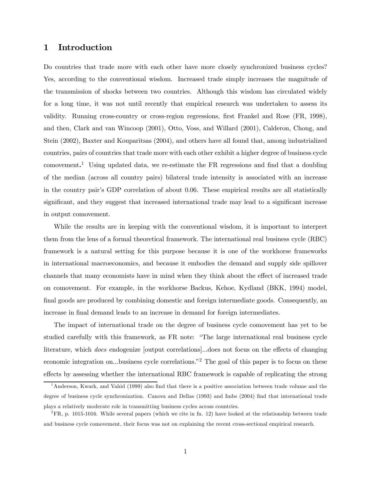# 1 Introduction

Do countries that trade more with each other have more closely synchronized business cycles? Yes, according to the conventional wisdom. Increased trade simply increases the magnitude of the transmission of shocks between two countries. Although this wisdom has circulated widely for a long time, it was not until recently that empirical research was undertaken to assess its validity. Running cross-country or cross-region regressions, first Frankel and Rose (FR, 1998), and then, Clark and van Wincoop (2001), Otto, Voss, and Willard (2001), Calderon, Chong, and Stein (2002), Baxter and Kouparitsas (2004), and others have all found that, among industrialized countries, pairs of countries that trade more with each other exhibit a higher degree of business cycle comovement.<sup>1</sup> Using updated data, we re-estimate the FR regressions and find that a doubling of the median (across all country pairs) bilateral trade intensity is associated with an increase in the country pair's GDP correlation of about 0.06. These empirical results are all statistically significant, and they suggest that increased international trade may lead to a significant increase in output comovement.

While the results are in keeping with the conventional wisdom, it is important to interpret them from the lens of a formal theoretical framework. The international real business cycle (RBC) framework is a natural setting for this purpose because it is one of the workhorse frameworks in international macroeconomics, and because it embodies the demand and supply side spillover channels that many economists have in mind when they think about the effect of increased trade on comovement. For example, in the workhorse Backus, Kehoe, Kydland (BKK, 1994) model, final goods are produced by combining domestic and foreign intermediate goods. Consequently, an increase in final demand leads to an increase in demand for foreign intermediates.

The impact of international trade on the degree of business cycle comovement has yet to be studied carefully with this framework, as FR note: "The large international real business cycle literature, which does endogenize [output correlations]...does not focus on the effects of changing economic integration on...business cycle correlations.<sup>"2</sup> The goal of this paper is to focus on these effects by assessing whether the international RBC framework is capable of replicating the strong

<sup>1</sup>Anderson, Kwark, and Vahid (1999) also find that there is a positive association between trade volume and the degree of business cycle synchronization. Canova and Dellas (1993) and Imbs (2004) find that international trade plays a relatively moderate role in transmitting business cycles across countries.

 ${}^{2}$ FR, p. 1015-1016. While several papers (which we cite in fn. 12) have looked at the relationship between trade and business cycle comovement, their focus was not on explaining the recent cross-sectional empirical research.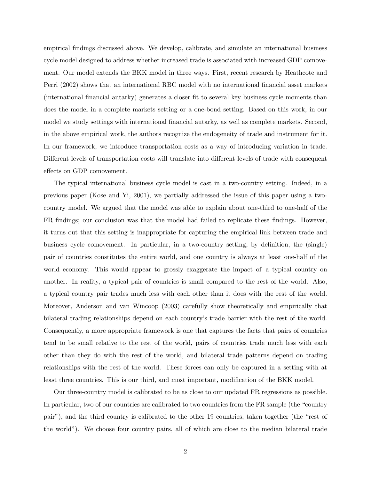empirical findings discussed above. We develop, calibrate, and simulate an international business cycle model designed to address whether increased trade is associated with increased GDP comovement. Our model extends the BKK model in three ways. First, recent research by Heathcote and Perri (2002) shows that an international RBC model with no international financial asset markets (international financial autarky) generates a closer fit to several key business cycle moments than does the model in a complete markets setting or a one-bond setting. Based on this work, in our model we study settings with international financial autarky, as well as complete markets. Second, in the above empirical work, the authors recognize the endogeneity of trade and instrument for it. In our framework, we introduce transportation costs as a way of introducing variation in trade. Different levels of transportation costs will translate into different levels of trade with consequent effects on GDP comovement.

The typical international business cycle model is cast in a two-country setting. Indeed, in a previous paper (Kose and Yi, 2001), we partially addressed the issue of this paper using a twocountry model. We argued that the model was able to explain about one-third to one-half of the FR findings; our conclusion was that the model had failed to replicate these findings. However, it turns out that this setting is inappropriate for capturing the empirical link between trade and business cycle comovement. In particular, in a two-country setting, by definition, the (single) pair of countries constitutes the entire world, and one country is always at least one-half of the world economy. This would appear to grossly exaggerate the impact of a typical country on another. In reality, a typical pair of countries is small compared to the rest of the world. Also, a typical country pair trades much less with each other than it does with the rest of the world. Moreover, Anderson and van Wincoop (2003) carefully show theoretically and empirically that bilateral trading relationships depend on each country's trade barrier with the rest of the world. Consequently, a more appropriate framework is one that captures the facts that pairs of countries tend to be small relative to the rest of the world, pairs of countries trade much less with each other than they do with the rest of the world, and bilateral trade patterns depend on trading relationships with the rest of the world. These forces can only be captured in a setting with at least three countries. This is our third, and most important, modification of the BKK model.

Our three-country model is calibrated to be as close to our updated FR regressions as possible. In particular, two of our countries are calibrated to two countries from the FR sample (the "country pair"), and the third country is calibrated to the other 19 countries, taken together (the "rest of the world"). We choose four country pairs, all of which are close to the median bilateral trade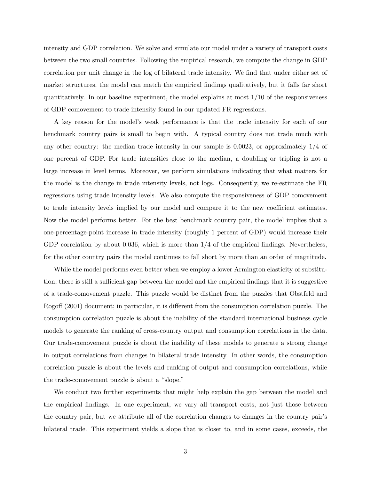intensity and GDP correlation. We solve and simulate our model under a variety of transport costs between the two small countries. Following the empirical research, we compute the change in GDP correlation per unit change in the log of bilateral trade intensity. We find that under either set of market structures, the model can match the empirical findings qualitatively, but it falls far short quantitatively. In our baseline experiment, the model explains at most  $1/10$  of the responsiveness of GDP comovement to trade intensity found in our updated FR regressions.

A key reason for the model's weak performance is that the trade intensity for each of our benchmark country pairs is small to begin with. A typical country does not trade much with any other country: the median trade intensity in our sample is 0.0023, or approximately 1/4 of one percent of GDP. For trade intensities close to the median, a doubling or tripling is not a large increase in level terms. Moreover, we perform simulations indicating that what matters for the model is the change in trade intensity levels, not logs. Consequently, we re-estimate the FR regressions using trade intensity levels. We also compute the responsiveness of GDP comovement to trade intensity levels implied by our model and compare it to the new coefficient estimates. Now the model performs better. For the best benchmark country pair, the model implies that a one-percentage-point increase in trade intensity (roughly 1 percent of GDP) would increase their GDP correlation by about 0.036, which is more than  $1/4$  of the empirical findings. Nevertheless, for the other country pairs the model continues to fall short by more than an order of magnitude.

While the model performs even better when we employ a lower Armington elasticity of substitution, there is still a sufficient gap between the model and the empirical findings that it is suggestive of a trade-comovement puzzle. This puzzle would be distinct from the puzzles that Obstfeld and Rogoff (2001) document; in particular, it is different from the consumption correlation puzzle. The consumption correlation puzzle is about the inability of the standard international business cycle models to generate the ranking of cross-country output and consumption correlations in the data. Our trade-comovement puzzle is about the inability of these models to generate a strong change in output correlations from changes in bilateral trade intensity. In other words, the consumption correlation puzzle is about the levels and ranking of output and consumption correlations, while the trade-comovement puzzle is about a "slope."

We conduct two further experiments that might help explain the gap between the model and the empirical findings. In one experiment, we vary all transport costs, not just those between the country pair, but we attribute all of the correlation changes to changes in the country pair's bilateral trade. This experiment yields a slope that is closer to, and in some cases, exceeds, the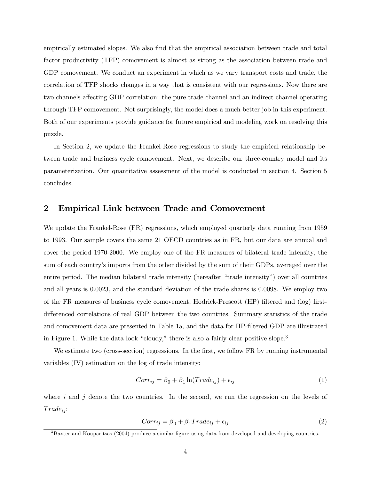empirically estimated slopes. We also find that the empirical association between trade and total factor productivity (TFP) comovement is almost as strong as the association between trade and GDP comovement. We conduct an experiment in which as we vary transport costs and trade, the correlation of TFP shocks changes in a way that is consistent with our regressions. Now there are two channels affecting GDP correlation: the pure trade channel and an indirect channel operating through TFP comovement. Not surprisingly, the model does a much better job in this experiment. Both of our experiments provide guidance for future empirical and modeling work on resolving this puzzle.

In Section 2, we update the Frankel-Rose regressions to study the empirical relationship between trade and business cycle comovement. Next, we describe our three-country model and its parameterization. Our quantitative assessment of the model is conducted in section 4. Section 5 concludes.

# 2 Empirical Link between Trade and Comovement

We update the Frankel-Rose (FR) regressions, which employed quarterly data running from 1959 to 1993. Our sample covers the same 21 OECD countries as in FR, but our data are annual and cover the period 1970-2000. We employ one of the FR measures of bilateral trade intensity, the sum of each country's imports from the other divided by the sum of their GDPs, averaged over the entire period. The median bilateral trade intensity (hereafter "trade intensity") over all countries and all years is 0.0023, and the standard deviation of the trade shares is 0.0098. We employ two of the FR measures of business cycle comovement, Hodrick-Prescott (HP) filtered and (log) firstdifferenced correlations of real GDP between the two countries. Summary statistics of the trade and comovement data are presented in Table 1a, and the data for HP-filtered GDP are illustrated in Figure 1. While the data look "cloudy," there is also a fairly clear positive slope.<sup>3</sup>

We estimate two (cross-section) regressions. In the first, we follow FR by running instrumental variables (IV) estimation on the log of trade intensity:

$$
Corr_{ij} = \beta_0 + \beta_1 \ln(Trade_{ij}) + \epsilon_{ij}
$$
\n(1)

where i and j denote the two countries. In the second, we run the regression on the levels of  $Trade_{ii}$ :

$$
Corr_{ij} = \beta_0 + \beta_1 Trade_{ij} + \epsilon_{ij}
$$
\n<sup>(2)</sup>

<sup>&</sup>lt;sup>3</sup>Baxter and Kouparitsas (2004) produce a similar figure using data from developed and developing countries.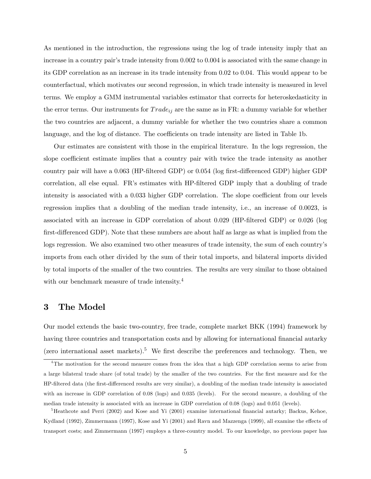As mentioned in the introduction, the regressions using the log of trade intensity imply that an increase in a country pair's trade intensity from 0.002 to 0.004 is associated with the same change in its GDP correlation as an increase in its trade intensity from 0.02 to 0.04. This would appear to be counterfactual, which motivates our second regression, in which trade intensity is measured in level terms. We employ a GMM instrumental variables estimator that corrects for heteroskedasticity in the error terms. Our instruments for  $Trade_{ij}$  are the same as in FR: a dummy variable for whether the two countries are adjacent, a dummy variable for whether the two countries share a common language, and the log of distance. The coefficients on trade intensity are listed in Table 1b.

Our estimates are consistent with those in the empirical literature. In the logs regression, the slope coefficient estimate implies that a country pair with twice the trade intensity as another country pair will have a 0.063 (HP-filtered GDP) or 0.054 (log first-differenced GDP) higher GDP correlation, all else equal. FR's estimates with HP-filtered GDP imply that a doubling of trade intensity is associated with a 0.033 higher GDP correlation. The slope coefficient from our levels regression implies that a doubling of the median trade intensity, i.e., an increase of 0.0023, is associated with an increase in GDP correlation of about 0.029 (HP-filtered GDP) or 0.026 (log first-differenced GDP). Note that these numbers are about half as large as what is implied from the logs regression. We also examined two other measures of trade intensity, the sum of each country's imports from each other divided by the sum of their total imports, and bilateral imports divided by total imports of the smaller of the two countries. The results are very similar to those obtained with our benchmark measure of trade intensity.<sup>4</sup>

# 3 The Model

Our model extends the basic two-country, free trade, complete market BKK (1994) framework by having three countries and transportation costs and by allowing for international financial autarky (zero international asset markets).<sup>5</sup> We first describe the preferences and technology. Then, we

<sup>4</sup>The motivation for the second measure comes from the idea that a high GDP correlation seems to arise from a large bilateral trade share (of total trade) by the smaller of the two countries. For the first measure and for the HP-filtered data (the first-differenced results are very similar), a doubling of the median trade intensity is associated with an increase in GDP correlation of 0.08 (logs) and 0.035 (levels). For the second measure, a doubling of the median trade intensity is associated with an increase in GDP correlation of 0.08 (logs) and 0.051 (levels).

<sup>&</sup>lt;sup>5</sup>Heathcote and Perri (2002) and Kose and Yi (2001) examine international financial autarky; Backus, Kehoe, Kydland (1992), Zimmermann (1997), Kose and Yi (2001) and Ravn and Mazzenga (1999), all examine the effects of transport costs; and Zimmermann (1997) employs a three-country model. To our knowledge, no previous paper has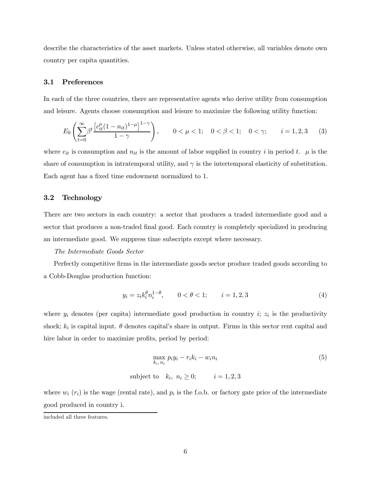describe the characteristics of the asset markets. Unless stated otherwise, all variables denote own country per capita quantities.

#### 3.1 Preferences

In each of the three countries, there are representative agents who derive utility from consumption and leisure. Agents choose consumption and leisure to maximize the following utility function:

$$
E_0\left(\sum_{t=0}^{\infty} \beta^t \frac{\left[c_{it}^{\mu}(1-n_{it})^{1-\mu}\right]^{1-\gamma}}{1-\gamma}\right), \qquad 0 < \mu < 1; \quad 0 < \beta < 1; \quad 0 < \gamma; \qquad i = 1, 2, 3 \tag{3}
$$

where  $c_{it}$  is consumption and  $n_{it}$  is the amount of labor supplied in country i in period t.  $\mu$  is the share of consumption in intratemporal utility, and  $\gamma$  is the intertemporal elasticity of substitution. Each agent has a fixed time endowment normalized to 1.

# 3.2 Technology

There are two sectors in each country: a sector that produces a traded intermediate good and a sector that produces a non-traded final good. Each country is completely specialized in producing an intermediate good. We suppress time subscripts except where necessary.

#### The Intermediate Goods Sector

Perfectly competitive firms in the intermediate goods sector produce traded goods according to a Cobb-Douglas production function:

$$
y_i = z_i k_i^{\theta} n_i^{1-\theta}, \qquad 0 < \theta < 1; \qquad i = 1, 2, 3 \tag{4}
$$

where  $y_i$  denotes (per capita) intermediate good production in country i;  $z_i$  is the productivity shock;  $k_i$  is capital input.  $\theta$  denotes capital's share in output. Firms in this sector rent capital and hire labor in order to maximize profits, period by period:

$$
\max_{k_i, n_i} p_i y_i - r_i k_i - w_i n_i
$$
\n(5)

\nsubject to  $k_i, n_i \geq 0;$   $i = 1, 2, 3$ 

where  $w_i(r_i)$  is the wage (rental rate), and  $p_i$  is the f.o.b. or factory gate price of the intermediate good produced in country i.

included all three features.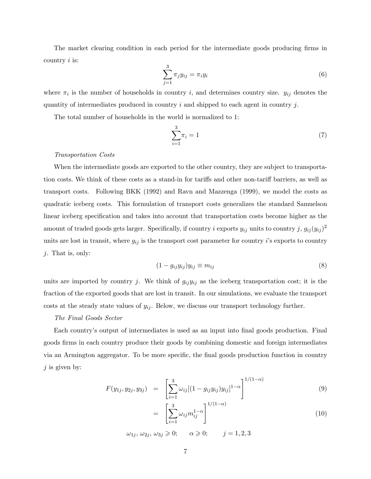The market clearing condition in each period for the intermediate goods producing firms in country  $i$  is:

$$
\sum_{j=1}^{3} \pi_j y_{ij} = \pi_i y_i \tag{6}
$$

where  $\pi_i$  is the number of households in country i, and determines country size.  $y_{ij}$  denotes the quantity of intermediates produced in country  $i$  and shipped to each agent in country  $j$ .

The total number of households in the world is normalized to 1:

$$
\sum_{i=1}^{3} \pi_i = 1
$$
 (7)

#### Transportation Costs

When the intermediate goods are exported to the other country, they are subject to transportation costs. We think of these costs as a stand-in for tariffs and other non-tariff barriers, as well as transport costs. Following BKK (1992) and Ravn and Mazzenga (1999), we model the costs as quadratic iceberg costs. This formulation of transport costs generalizes the standard Samuelson linear iceberg specification and takes into account that transportation costs become higher as the amount of traded goods gets larger. Specifically, if country i exports  $y_{ij}$  units to country j,  $g_{ij}(y_{ij})^2$ units are lost in transit, where  $g_{ij}$  is the transport cost parameter for country i's exports to country j. That is, only:

$$
(1 - g_{ij}y_{ij})y_{ij} \equiv m_{ij} \tag{8}
$$

units are imported by country j. We think of  $g_{ij}y_{ij}$  as the iceberg transportation cost; it is the fraction of the exported goods that are lost in transit. In our simulations, we evaluate the transport costs at the steady state values of  $y_{ij}$ . Below, we discuss our transport technology further.

#### The Final Goods Sector

Each country's output of intermediates is used as an input into final goods production. Final goods firms in each country produce their goods by combining domestic and foreign intermediates via an Armington aggregator. To be more specific, the final goods production function in country  $i$  is given by:

$$
F(y_{1j}, y_{2j}, y_{3j}) = \left[\sum_{i=1}^{3} \omega_{ij} [(1 - g_{ij} y_{ij}) y_{ij}]^{1-\alpha} \right]^{1/(1-\alpha)}
$$
(9)

$$
= \left[\sum_{i=1}^{3} \omega_{ij} m_{ij}^{1-\alpha}\right]^{1/(1-\alpha)}
$$
\n(10)

 $\omega_{1j}, \omega_{2j}, \omega_{3j} \geqslant 0; \qquad \alpha \geqslant 0; \qquad j = 1, 2, 3$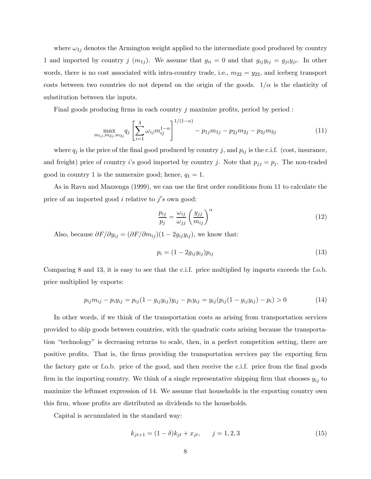where  $\omega_{1j}$  denotes the Armington weight applied to the intermediate good produced by country 1 and imported by country j  $(m_{1j})$ . We assume that  $g_{ii} = 0$  and that  $g_{ij}y_{ij} = g_{ji}y_{ji}$ . In other words, there is no cost associated with intra-country trade, i.e.,  $m_{22} = y_{22}$ , and iceberg transport costs between two countries do not depend on the origin of the goods.  $1/\alpha$  is the elasticity of substitution between the inputs.

Final goods producing firms in each country j maximize profits, period by period :

$$
\max_{m_{1j}, m_{2j}, m_{3j}} q_j \left[ \sum_{i=1}^3 \omega_{ij} m_{ij}^{1-\alpha} \right]^{1/(1-\alpha)} - p_{1j} m_{1j} - p_{2j} m_{2j} - p_{3j} m_{3j} \tag{11}
$$

where  $q_j$  is the price of the final good produced by country j, and  $p_{ij}$  is the c.i.f. (cost, insurance, and freight) price of country i's good imported by country j. Note that  $p_{jj} = p_j$ . The non-traded good in country 1 is the numeraire good; hence,  $q_1 = 1$ .

As in Ravn and Mazzenga (1999), we can use the first order conditions from 11 to calculate the price of an imported good  $i$  relative to  $j's$  own good:

$$
\frac{p_{ij}}{p_j} = \frac{\omega_{ij}}{\omega_{jj}} \left(\frac{y_{jj}}{m_{ij}}\right)^{\alpha} \tag{12}
$$

Also, because  $\partial F/\partial y_{ij} = (\partial F/\partial m_{ij})(1 - 2g_{ij}y_{ij})$ , we know that:

$$
p_i = (1 - 2g_{ij}y_{ij})p_{ij} \tag{13}
$$

Comparing 8 and 13, it is easy to see that the c.i.f. price multiplied by imports exceeds the f.o.b. price multiplied by exports:

$$
p_{ij}m_{ij} - p_iy_{ij} = p_{ij}(1 - g_{ij}y_{ij})y_{ij} - p_iy_{ij} = y_{ij}(p_{ij}(1 - g_{ij}y_{ij}) - p_i) > 0
$$
\n(14)

In other words, if we think of the transportation costs as arising from transportation services provided to ship goods between countries, with the quadratic costs arising because the transportation "technology" is decreasing returns to scale, then, in a perfect competition setting, there are positive profits. That is, the firms providing the transportation services pay the exporting firm the factory gate or f.o.b. price of the good, and then receive the c.i.f. price from the final goods firm in the importing country. We think of a single representative shipping firm that chooses  $y_{ij}$  to maximize the leftmost expression of 14. We assume that households in the exporting country own this firm, whose profits are distributed as dividends to the households.

Capital is accumulated in the standard way:

$$
k_{jt+1} = (1 - \delta)k_{jt} + x_{jt}, \qquad j = 1, 2, 3
$$
\n<sup>(15)</sup>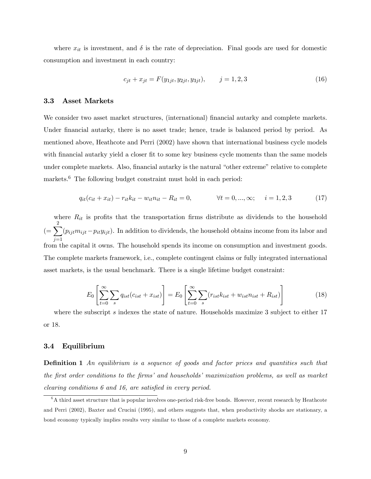where  $x_{it}$  is investment, and  $\delta$  is the rate of depreciation. Final goods are used for domestic consumption and investment in each country:

$$
c_{jt} + x_{jt} = F(y_{1jt}, y_{2jt}, y_{3jt}), \t j = 1, 2, 3 \t(16)
$$

# 3.3 Asset Markets

We consider two asset market structures, (international) financial autarky and complete markets. Under financial autarky, there is no asset trade; hence, trade is balanced period by period. As mentioned above, Heathcote and Perri (2002) have shown that international business cycle models with financial autarky yield a closer fit to some key business cycle moments than the same models under complete markets. Also, financial autarky is the natural "other extreme" relative to complete markets.<sup>6</sup> The following budget constraint must hold in each period:

$$
q_{it}(c_{it} + x_{it}) - r_{it}k_{it} - w_{it}n_{it} - R_{it} = 0, \qquad \forall t = 0, ..., \infty; \quad i = 1, 2, 3
$$
 (17)

where  $R_{it}$  is profits that the transportation firms distribute as dividends to the household  $(=\sum$ 2  $j=1$  $(p_{ijt}m_{ijt}-p_{it}y_{ijt})$ . In addition to dividends, the household obtains income from its labor and from the capital it owns. The household spends its income on consumption and investment goods. The complete markets framework, i.e., complete contingent claims or fully integrated international asset markets, is the usual benchmark. There is a single lifetime budget constraint:

$$
E_0\left[\sum_{t=0}^{\infty}\sum_s q_{ist}(c_{ist} + x_{ist})\right] = E_0\left[\sum_{t=0}^{\infty}\sum_s (r_{ist}k_{ist} + w_{ist}n_{ist} + R_{ist})\right]
$$
(18)

where the subscript s indexes the state of nature. Households maximize 3 subject to either 17 or 18.

#### 3.4 Equilibrium

Definition 1 An equilibrium is a sequence of goods and factor prices and quantities such that the first order conditions to the firms' and households' maximization problems, as well as market clearing conditions 6 and 16, are satisfied in every period.

 $6A$  third asset structure that is popular involves one-period risk-free bonds. However, recent research by Heathcote and Perri (2002), Baxter and Crucini (1995), and others suggests that, when productivity shocks are stationary, a bond economy typically implies results very similar to those of a complete markets economy.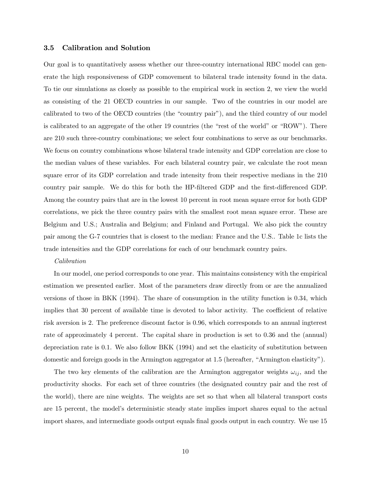# 3.5 Calibration and Solution

Our goal is to quantitatively assess whether our three-country international RBC model can generate the high responsiveness of GDP comovement to bilateral trade intensity found in the data. To tie our simulations as closely as possible to the empirical work in section 2, we view the world as consisting of the 21 OECD countries in our sample. Two of the countries in our model are calibrated to two of the OECD countries (the "country pair"), and the third country of our model is calibrated to an aggregate of the other 19 countries (the "rest of the world" or "ROW"). There are 210 such three-country combinations; we select four combinations to serve as our benchmarks. We focus on country combinations whose bilateral trade intensity and GDP correlation are close to the median values of these variables. For each bilateral country pair, we calculate the root mean square error of its GDP correlation and trade intensity from their respective medians in the 210 country pair sample. We do this for both the HP-filtered GDP and the first-differenced GDP. Among the country pairs that are in the lowest 10 percent in root mean square error for both GDP correlations, we pick the three country pairs with the smallest root mean square error. These are Belgium and U.S.; Australia and Belgium; and Finland and Portugal. We also pick the country pair among the G-7 countries that is closest to the median: France and the U.S.. Table 1c lists the trade intensities and the GDP correlations for each of our benchmark country pairs.

#### Calibration

In our model, one period corresponds to one year. This maintains consistency with the empirical estimation we presented earlier. Most of the parameters draw directly from or are the annualized versions of those in BKK (1994). The share of consumption in the utility function is 0.34, which implies that 30 percent of available time is devoted to labor activity. The coefficient of relative risk aversion is 2. The preference discount factor is 0.96, which corresponds to an annual ingterest rate of approximately 4 percent. The capital share in production is set to 0.36 and the (annual) depreciation rate is 0.1. We also follow BKK (1994) and set the elasticity of substitution between domestic and foreign goods in the Armington aggregator at 1.5 (hereafter, "Armington elasticity").

The two key elements of the calibration are the Armington aggregator weights  $\omega_{ij}$ , and the productivity shocks. For each set of three countries (the designated country pair and the rest of the world), there are nine weights. The weights are set so that when all bilateral transport costs are 15 percent, the model's deterministic steady state implies import shares equal to the actual import shares, and intermediate goods output equals final goods output in each country. We use 15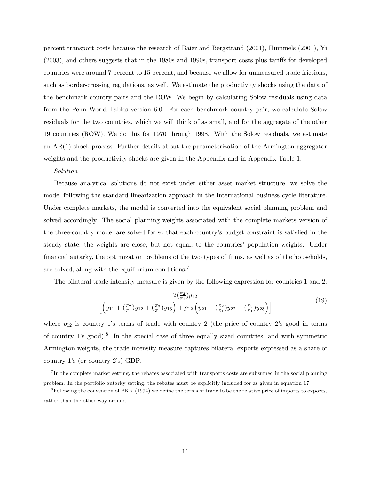percent transport costs because the research of Baier and Bergstrand (2001), Hummels (2001), Yi (2003), and others suggests that in the 1980s and 1990s, transport costs plus tariffs for developed countries were around 7 percent to 15 percent, and because we allow for unmeasured trade frictions, such as border-crossing regulations, as well. We estimate the productivity shocks using the data of the benchmark country pairs and the ROW. We begin by calculating Solow residuals using data from the Penn World Tables version 6.0. For each benchmark country pair, we calculate Solow residuals for the two countries, which we will think of as small, and for the aggregate of the other 19 countries (ROW). We do this for 1970 through 1998. With the Solow residuals, we estimate an AR(1) shock process. Further details about the parameterization of the Armington aggregator weights and the productivity shocks are given in the Appendix and in Appendix Table 1.

# Solution

Because analytical solutions do not exist under either asset market structure, we solve the model following the standard linearization approach in the international business cycle literature. Under complete markets, the model is converted into the equivalent social planning problem and solved accordingly. The social planning weights associated with the complete markets version of the three-country model are solved for so that each country's budget constraint is satisfied in the steady state; the weights are close, but not equal, to the countries' population weights. Under financial autarky, the optimization problems of the two types of firms, as well as of the households, are solved, along with the equilibrium conditions.7

The bilateral trade intensity measure is given by the following expression for countries 1 and 2:

$$
\frac{2(\frac{\pi_2}{\pi_1})y_{12}}{\left[\left(y_{11}+(\frac{\pi_2}{\pi_1})y_{12}+(\frac{\pi_3}{\pi_1})y_{13}\right)+p_{12}\left(y_{21}+(\frac{\pi_2}{\pi_1})y_{22}+(\frac{\pi_3}{\pi_1})y_{23}\right)\right]}
$$
(19)

where  $p_{12}$  is country 1's terms of trade with country 2 (the price of country 2's good in terms of country 1's good).<sup>8</sup> In the special case of three equally sized countries, and with symmetric Armington weights, the trade intensity measure captures bilateral exports expressed as a share of country 1's (or country 2's) GDP.

 $<sup>7</sup>$ In the complete market setting, the rebates associated with transports costs are subsumed in the social planning</sup> problem. In the portfolio autarky setting, the rebates must be explicitly included for as given in equation 17.

<sup>&</sup>lt;sup>8</sup>Following the convention of BKK (1994) we define the terms of trade to be the relative price of imports to exports, rather than the other way around.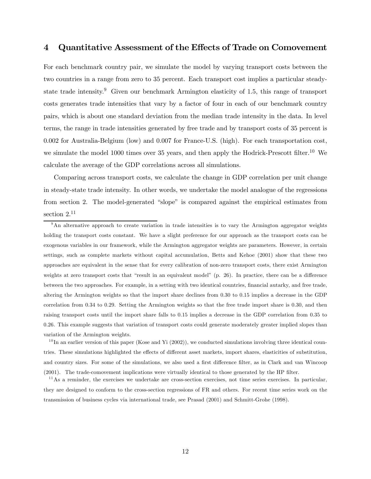# 4 Quantitative Assessment of the Effects of Trade on Comovement

For each benchmark country pair, we simulate the model by varying transport costs between the two countries in a range from zero to 35 percent. Each transport cost implies a particular steadystate trade intensity.9 Given our benchmark Armington elasticity of 1.5, this range of transport costs generates trade intensities that vary by a factor of four in each of our benchmark country pairs, which is about one standard deviation from the median trade intensity in the data. In level terms, the range in trade intensities generated by free trade and by transport costs of 35 percent is 0.002 for Australia-Belgium (low) and 0.007 for France-U.S. (high). For each transportation cost, we simulate the model 1000 times over 35 years, and then apply the Hodrick-Prescott filter.<sup>10</sup> We calculate the average of the GDP correlations across all simulations.

Comparing across transport costs, we calculate the change in GDP correlation per unit change in steady-state trade intensity. In other words, we undertake the model analogue of the regressions from section 2. The model-generated "slope" is compared against the empirical estimates from section  $2^{11}$ 

9An alternative approach to create variation in trade intensities is to vary the Armington aggregator weights holding the transport costs constant. We have a slight preference for our approach as the transport costs can be exogenous variables in our framework, while the Armington aggregator weights are parameters. However, in certain settings, such as complete markets without capital accumulation, Betts and Kehoe (2001) show that these two approaches are equivalent in the sense that for every calibration of non-zero transport costs, there exist Armington weights at zero transport costs that "result in an equivalent model" (p. 26). In practice, there can be a difference between the two approaches. For example, in a setting with two identical countries, financial autarky, and free trade, altering the Armington weights so that the import share declines from 0.30 to 0.15 implies a decrease in the GDP correlation from 0.34 to 0.29. Setting the Armington weights so that the free trade import share is 0.30, and then raising transport costs until the import share falls to 0.15 implies a decrease in the GDP correlation from 0.35 to 0.26. This example suggests that variation of transport costs could generate moderately greater implied slopes than variation of the Armington weights.

 $10$  In an earlier version of this paper (Kose and Yi (2002)), we conducted simulations involving three identical countries. These simulations highlighted the effects of different asset markets, import shares, elasticities of substitution, and country sizes. For some of the simulations, we also used a first difference filter, as in Clark and van Wincoop (2001). The trade-comovement implications were virtually identical to those generated by the HP filter.

 $11$ As a reminder, the exercises we undertake are cross-section exercises, not time series exercises. In particular, they are designed to conform to the cross-section regressions of FR and others. For recent time series work on the transmission of business cycles via international trade, see Prasad (2001) and Schmitt-Grohe (1998).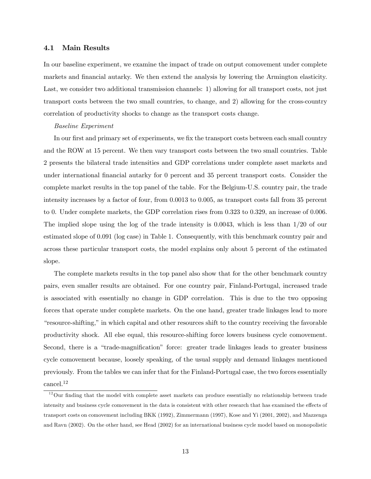# 4.1 Main Results

In our baseline experiment, we examine the impact of trade on output comovement under complete markets and financial autarky. We then extend the analysis by lowering the Armington elasticity. Last, we consider two additional transmission channels: 1) allowing for all transport costs, not just transport costs between the two small countries, to change, and 2) allowing for the cross-country correlation of productivity shocks to change as the transport costs change.

#### Baseline Experiment

In our first and primary set of experiments, we fix the transport costs between each small country and the ROW at 15 percent. We then vary transport costs between the two small countries. Table 2 presents the bilateral trade intensities and GDP correlations under complete asset markets and under international financial autarky for 0 percent and 35 percent transport costs. Consider the complete market results in the top panel of the table. For the Belgium-U.S. country pair, the trade intensity increases by a factor of four, from 0.0013 to 0.005, as transport costs fall from 35 percent to 0. Under complete markets, the GDP correlation rises from 0.323 to 0.329, an increase of 0.006. The implied slope using the log of the trade intensity is 0.0043, which is less than 1/20 of our estimated slope of 0.091 (log case) in Table 1. Consequently, with this benchmark country pair and across these particular transport costs, the model explains only about 5 percent of the estimated slope.

The complete markets results in the top panel also show that for the other benchmark country pairs, even smaller results are obtained. For one country pair, Finland-Portugal, increased trade is associated with essentially no change in GDP correlation. This is due to the two opposing forces that operate under complete markets. On the one hand, greater trade linkages lead to more "resource-shifting," in which capital and other resources shift to the country receiving the favorable productivity shock. All else equal, this resource-shifting force lowers business cycle comovement. Second, there is a "trade-magnification" force: greater trade linkages leads to greater business cycle comovement because, loosely speaking, of the usual supply and demand linkages mentioned previously. From the tables we can infer that for the Finland-Portugal case, the two forces essentially cancel.12

 $12$ Our finding that the model with complete asset markets can produce essentially no relationship between trade intensity and business cycle comovement in the data is consistent with other research that has examined the effects of transport costs on comovement including BKK (1992), Zimmermann (1997), Kose and Yi (2001, 2002), and Mazzenga and Ravn (2002). On the other hand, see Head (2002) for an international business cycle model based on monopolistic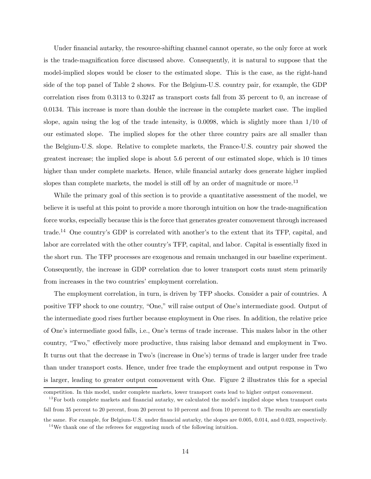Under financial autarky, the resource-shifting channel cannot operate, so the only force at work is the trade-magnification force discussed above. Consequently, it is natural to suppose that the model-implied slopes would be closer to the estimated slope. This is the case, as the right-hand side of the top panel of Table 2 shows. For the Belgium-U.S. country pair, for example, the GDP correlation rises from 0.3113 to 0.3247 as transport costs fall from 35 percent to 0, an increase of 0.0134. This increase is more than double the increase in the complete market case. The implied slope, again using the log of the trade intensity, is 0.0098, which is slightly more than 1/10 of our estimated slope. The implied slopes for the other three country pairs are all smaller than the Belgium-U.S. slope. Relative to complete markets, the France-U.S. country pair showed the greatest increase; the implied slope is about 5.6 percent of our estimated slope, which is 10 times higher than under complete markets. Hence, while financial autarky does generate higher implied slopes than complete markets, the model is still off by an order of magnitude or more.<sup>13</sup>

While the primary goal of this section is to provide a quantitative assessment of the model, we believe it is useful at this point to provide a more thorough intuition on how the trade-magnification force works, especially because this is the force that generates greater comovement through increased trade.14 One country's GDP is correlated with another's to the extent that its TFP, capital, and labor are correlated with the other country's TFP, capital, and labor. Capital is essentially fixed in the short run. The TFP processes are exogenous and remain unchanged in our baseline experiment. Consequently, the increase in GDP correlation due to lower transport costs must stem primarily from increases in the two countries' employment correlation.

The employment correlation, in turn, is driven by TFP shocks. Consider a pair of countries. A positive TFP shock to one country, "One," will raise output of One's intermediate good. Output of the intermediate good rises further because employment in One rises. In addition, the relative price of One's intermediate good falls, i.e., One's terms of trade increase. This makes labor in the other country, "Two," effectively more productive, thus raising labor demand and employment in Two. It turns out that the decrease in Two's (increase in One's) terms of trade is larger under free trade than under transport costs. Hence, under free trade the employment and output response in Two is larger, leading to greater output comovement with One. Figure 2 illustrates this for a special

competition. In this model, under complete markets, lower transport costs lead to higher output comovement.

 $13$  For both complete markets and financial autarky, we calculated the model's implied slope when transport costs fall from 35 percent to 20 percent, from 20 percent to 10 percent and from 10 percent to 0. The results are essentially the same. For example, for Belgium-U.S. under financial autarky, the slopes are 0.005, 0.014, and 0.023, respectively.

 $14$ We thank one of the referees for suggesting much of the following intuition.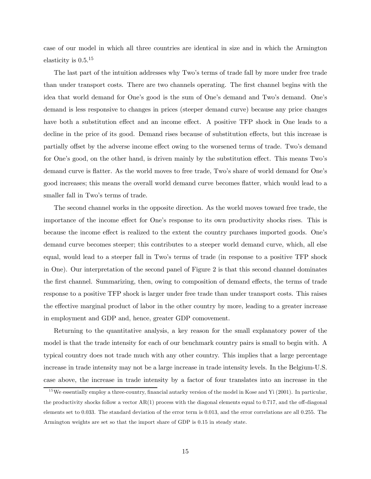case of our model in which all three countries are identical in size and in which the Armington elasticity is 0.5.15

The last part of the intuition addresses why Two's terms of trade fall by more under free trade than under transport costs. There are two channels operating. The first channel begins with the idea that world demand for One's good is the sum of One's demand and Two's demand. One's demand is less responsive to changes in prices (steeper demand curve) because any price changes have both a substitution effect and an income effect. A positive TFP shock in One leads to a decline in the price of its good. Demand rises because of substitution effects, but this increase is partially offset by the adverse income effect owing to the worsened terms of trade. Two's demand for One's good, on the other hand, is driven mainly by the substitution effect. This means Two's demand curve is flatter. As the world moves to free trade, Two's share of world demand for One's good increases; this means the overall world demand curve becomes flatter, which would lead to a smaller fall in Two's terms of trade.

The second channel works in the opposite direction. As the world moves toward free trade, the importance of the income effect for One's response to its own productivity shocks rises. This is because the income effect is realized to the extent the country purchases imported goods. One's demand curve becomes steeper; this contributes to a steeper world demand curve, which, all else equal, would lead to a steeper fall in Two's terms of trade (in response to a positive TFP shock in One). Our interpretation of the second panel of Figure 2 is that this second channel dominates the first channel. Summarizing, then, owing to composition of demand effects, the terms of trade response to a positive TFP shock is larger under free trade than under transport costs. This raises the effective marginal product of labor in the other country by more, leading to a greater increase in employment and GDP and, hence, greater GDP comovement.

Returning to the quantitative analysis, a key reason for the small explanatory power of the model is that the trade intensity for each of our benchmark country pairs is small to begin with. A typical country does not trade much with any other country. This implies that a large percentage increase in trade intensity may not be a large increase in trade intensity levels. In the Belgium-U.S. case above, the increase in trade intensity by a factor of four translates into an increase in the

 $15$  We essentially employ a three-country, financial autarky version of the model in Kose and Yi (2001). In particular, the productivity shocks follow a vector AR(1) process with the diagonal elements equal to 0.717, and the off-diagonal elements set to 0.033. The standard deviation of the error term is 0.013, and the error correlations are all 0.255. The Armington weights are set so that the import share of GDP is 0.15 in steady state.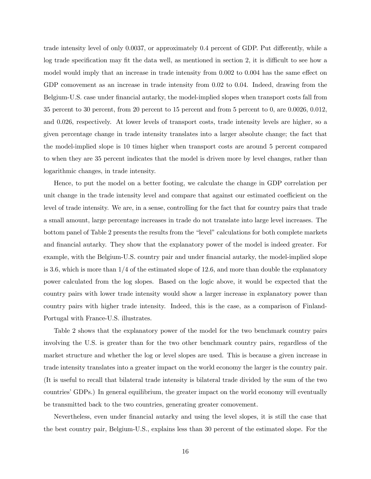trade intensity level of only 0.0037, or approximately 0.4 percent of GDP. Put differently, while a log trade specification may fit the data well, as mentioned in section 2, it is difficult to see how a model would imply that an increase in trade intensity from 0.002 to 0.004 has the same effect on GDP comovement as an increase in trade intensity from 0.02 to 0.04. Indeed, drawing from the Belgium-U.S. case under financial autarky, the model-implied slopes when transport costs fall from 35 percent to 30 percent, from 20 percent to 15 percent and from 5 percent to 0, are 0.0026, 0.012, and 0.026, respectively. At lower levels of transport costs, trade intensity levels are higher, so a given percentage change in trade intensity translates into a larger absolute change; the fact that the model-implied slope is 10 times higher when transport costs are around 5 percent compared to when they are 35 percent indicates that the model is driven more by level changes, rather than logarithmic changes, in trade intensity.

Hence, to put the model on a better footing, we calculate the change in GDP correlation per unit change in the trade intensity level and compare that against our estimated coefficient on the level of trade intensity. We are, in a sense, controlling for the fact that for country pairs that trade a small amount, large percentage increases in trade do not translate into large level increases. The bottom panel of Table 2 presents the results from the "level" calculations for both complete markets and financial autarky. They show that the explanatory power of the model is indeed greater. For example, with the Belgium-U.S. country pair and under financial autarky, the model-implied slope is 3.6, which is more than  $1/4$  of the estimated slope of 12.6, and more than double the explanatory power calculated from the log slopes. Based on the logic above, it would be expected that the country pairs with lower trade intensity would show a larger increase in explanatory power than country pairs with higher trade intensity. Indeed, this is the case, as a comparison of Finland-Portugal with France-U.S. illustrates.

Table 2 shows that the explanatory power of the model for the two benchmark country pairs involving the U.S. is greater than for the two other benchmark country pairs, regardless of the market structure and whether the log or level slopes are used. This is because a given increase in trade intensity translates into a greater impact on the world economy the larger is the country pair. (It is useful to recall that bilateral trade intensity is bilateral trade divided by the sum of the two countries' GDPs.) In general equilibrium, the greater impact on the world economy will eventually be transmitted back to the two countries, generating greater comovement.

Nevertheless, even under financial autarky and using the level slopes, it is still the case that the best country pair, Belgium-U.S., explains less than 30 percent of the estimated slope. For the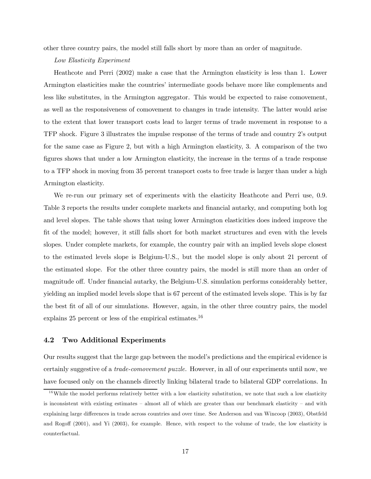other three country pairs, the model still falls short by more than an order of magnitude.

#### Low Elasticity Experiment

Heathcote and Perri (2002) make a case that the Armington elasticity is less than 1. Lower Armington elasticities make the countries' intermediate goods behave more like complements and less like substitutes, in the Armington aggregator. This would be expected to raise comovement, as well as the responsiveness of comovement to changes in trade intensity. The latter would arise to the extent that lower transport costs lead to larger terms of trade movement in response to a TFP shock. Figure 3 illustrates the impulse response of the terms of trade and country 2's output for the same case as Figure 2, but with a high Armington elasticity, 3. A comparison of the two figures shows that under a low Armington elasticity, the increase in the terms of a trade response to a TFP shock in moving from 35 percent transport costs to free trade is larger than under a high Armington elasticity.

We re-run our primary set of experiments with the elasticity Heathcote and Perri use, 0.9. Table 3 reports the results under complete markets and financial autarky, and computing both log and level slopes. The table shows that using lower Armington elasticities does indeed improve the fit of the model; however, it still falls short for both market structures and even with the levels slopes. Under complete markets, for example, the country pair with an implied levels slope closest to the estimated levels slope is Belgium-U.S., but the model slope is only about 21 percent of the estimated slope. For the other three country pairs, the model is still more than an order of magnitude off. Under financial autarky, the Belgium-U.S. simulation performs considerably better, yielding an implied model levels slope that is 67 percent of the estimated levels slope. This is by far the best fit of all of our simulations. However, again, in the other three country pairs, the model explains 25 percent or less of the empirical estimates.<sup>16</sup>

### 4.2 Two Additional Experiments

Our results suggest that the large gap between the model's predictions and the empirical evidence is certainly suggestive of a trade-comovement puzzle. However, in all of our experiments until now, we have focused only on the channels directly linking bilateral trade to bilateral GDP correlations. In

 $16$ While the model performs relatively better with a low elasticity substitution, we note that such a low elasticity is inconsistent with existing estimates — almost all of which are greater than our benchmark elasticity — and with explaining large differences in trade across countries and over time. See Anderson and van Wincoop (2003), Obstfeld and Rogoff (2001), and Yi (2003), for example. Hence, with respect to the volume of trade, the low elasticity is counterfactual.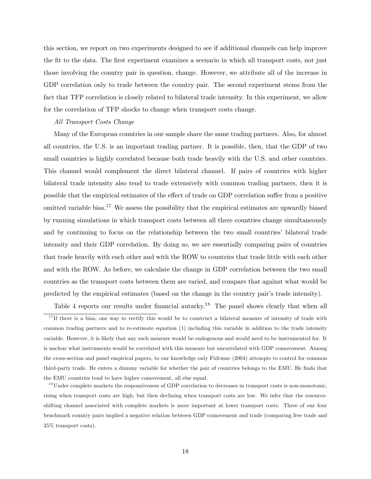this section, we report on two experiments designed to see if additional channels can help improve the fit to the data. The first experiment examines a scenario in which all transport costs, not just those involving the country pair in question, change. However, we attribute all of the increase in GDP correlation only to trade between the country pair. The second experiment stems from the fact that TFP correlation is closely related to bilateral trade intensity. In this experiment, we allow for the correlation of TFP shocks to change when transport costs change.

#### All Transport Costs Change

Many of the European countries in our sample share the same trading partners. Also, for almost all countries, the U.S. is an important trading partner. It is possible, then, that the GDP of two small countries is highly correlated because both trade heavily with the U.S. and other countries. This channel would complement the direct bilateral channel. If pairs of countries with higher bilateral trade intensity also tend to trade extensively with common trading partners, then it is possible that the empirical estimates of the effect of trade on GDP correlation suffer from a positive omitted variable bias.<sup>17</sup> We assess the possibility that the empirical estimates are upwardly biased by running simulations in which transport costs between all three countries change simultaneously and by continuing to focus on the relationship between the two small countries' bilateral trade intensity and their GDP correlation. By doing so, we are essentially comparing pairs of countries that trade heavily with each other and with the ROW to countries that trade little with each other and with the ROW. As before, we calculate the change in GDP correlation between the two small countries as the transport costs between them are varied, and compare that against what would be predicted by the empirical estimates (based on the change in the country pair's trade intensity).

Table 4 reports our results under financial autarky.<sup>18</sup> The panel shows clearly that when all

 $17$  If there is a bias, one way to rectify this would be to construct a bilateral measure of intensity of trade with common trading partners and to re-estimate equation (1) including this variable in addition to the trade intensity variable. However, it is likely that any such measure would be endogenous and would need to be instrumented for. It is unclear what instruments would be correlated with this measure but uncorrelated with GDP comovement. Among the cross-section and panel empirical papers, to our knowledge only Fidrmuc (2004) attempts to control for common third-party trade. He enters a dummy variable for whether the pair of countries belongs to the EMU. He finds that the EMU countries tend to have higher comovement, all else equal.

 $18$ Under complete markets the responsiveness of GDP correlation to decreases in transport costs is non-monotonic, rising when transport costs are high, but then declining when transport costs are low. We infer that the resourceshifting channel associated with complete markets is more important at lower transport costs. Three of our four benchmark country pairs implied a negative relation between GDP comovement and trade (comparing free trade and 35% transport costs).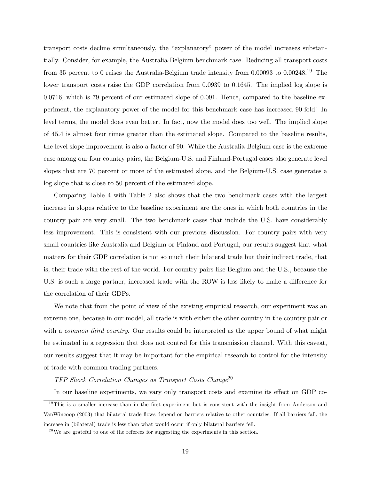transport costs decline simultaneously, the "explanatory" power of the model increases substantially. Consider, for example, the Australia-Belgium benchmark case. Reducing all transport costs from 35 percent to 0 raises the Australia-Belgium trade intensity from 0.00093 to 0.00248.19 The lower transport costs raise the GDP correlation from 0.0939 to 0.1645. The implied log slope is 0.0716, which is 79 percent of our estimated slope of 0.091. Hence, compared to the baseline experiment, the explanatory power of the model for this benchmark case has increased 90-fold! In level terms, the model does even better. In fact, now the model does too well. The implied slope of 45.4 is almost four times greater than the estimated slope. Compared to the baseline results, the level slope improvement is also a factor of 90. While the Australia-Belgium case is the extreme case among our four country pairs, the Belgium-U.S. and Finland-Portugal cases also generate level slopes that are 70 percent or more of the estimated slope, and the Belgium-U.S. case generates a log slope that is close to 50 percent of the estimated slope.

Comparing Table 4 with Table 2 also shows that the two benchmark cases with the largest increase in slopes relative to the baseline experiment are the ones in which both countries in the country pair are very small. The two benchmark cases that include the U.S. have considerably less improvement. This is consistent with our previous discussion. For country pairs with very small countries like Australia and Belgium or Finland and Portugal, our results suggest that what matters for their GDP correlation is not so much their bilateral trade but their indirect trade, that is, their trade with the rest of the world. For country pairs like Belgium and the U.S., because the U.S. is such a large partner, increased trade with the ROW is less likely to make a difference for the correlation of their GDPs.

We note that from the point of view of the existing empirical research, our experiment was an extreme one, because in our model, all trade is with either the other country in the country pair or with a *common third country*. Our results could be interpreted as the upper bound of what might be estimated in a regression that does not control for this transmission channel. With this caveat, our results suggest that it may be important for the empirical research to control for the intensity of trade with common trading partners.

# TFP Shock Correlation Changes as Transport Costs Change<sup>20</sup>

In our baseline experiments, we vary only transport costs and examine its effect on GDP co-

 $19$ This is a smaller increase than in the first experiment but is consistent with the insight from Anderson and VanWincoop (2003) that bilateral trade flows depend on barriers relative to other countries. If all barriers fall, the increase in (bilateral) trade is less than what would occur if only bilateral barriers fell.

 $^{20}$ We are grateful to one of the referees for suggesting the experiments in this section.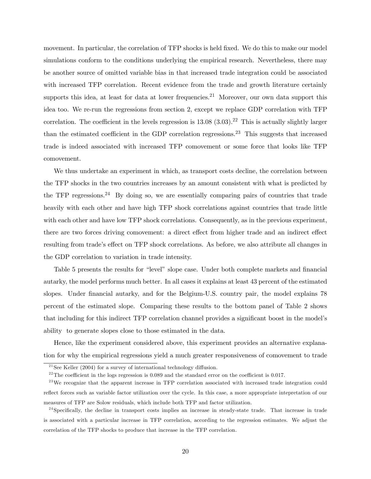movement. In particular, the correlation of TFP shocks is held fixed. We do this to make our model simulations conform to the conditions underlying the empirical research. Nevertheless, there may be another source of omitted variable bias in that increased trade integration could be associated with increased TFP correlation. Recent evidence from the trade and growth literature certainly supports this idea, at least for data at lower frequencies.<sup>21</sup> Moreover, our own data support this idea too. We re-run the regressions from section 2, except we replace GDP correlation with TFP correlation. The coefficient in the levels regression is  $13.08$  (3.03).<sup>22</sup> This is actually slightly larger than the estimated coefficient in the GDP correlation regressions.<sup>23</sup> This suggests that increased trade is indeed associated with increased TFP comovement or some force that looks like TFP comovement.

We thus undertake an experiment in which, as transport costs decline, the correlation between the TFP shocks in the two countries increases by an amount consistent with what is predicted by the TFP regressions.<sup>24</sup> By doing so, we are essentially comparing pairs of countries that trade heavily with each other and have high TFP shock correlations against countries that trade little with each other and have low TFP shock correlations. Consequently, as in the previous experiment, there are two forces driving comovement: a direct effect from higher trade and an indirect effect resulting from trade's effect on TFP shock correlations. As before, we also attribute all changes in the GDP correlation to variation in trade intensity.

Table 5 presents the results for "level" slope case. Under both complete markets and financial autarky, the model performs much better. In all cases it explains at least 43 percent of the estimated slopes. Under financial autarky, and for the Belgium-U.S. country pair, the model explains 78 percent of the estimated slope. Comparing these results to the bottom panel of Table 2 shows that including for this indirect TFP correlation channel provides a significant boost in the model's ability to generate slopes close to those estimated in the data.

Hence, like the experiment considered above, this experiment provides an alternative explanation for why the empirical regressions yield a much greater responsiveness of comovement to trade

 $^{21}$ See Keller (2004) for a survey of international technology diffusion.

<sup>&</sup>lt;sup>22</sup>The coefficient in the logs regression is 0.089 and the standard error on the coefficient is 0.017.

<sup>&</sup>lt;sup>23</sup>We recognize that the apparent increase in TFP correlation associated with increased trade integration could reflect forces such as variable factor utilization over the cycle. In this case, a more appropriate intepretation of our measures of TFP are Solow residuals, which include both TFP and factor utilization.

 $24$  Specifically, the decline in transport costs implies an increase in steady-state trade. That increase in trade is associated with a particular increase in TFP correlation, according to the regression estimates. We adjust the correlation of the TFP shocks to produce that increase in the TFP correlation.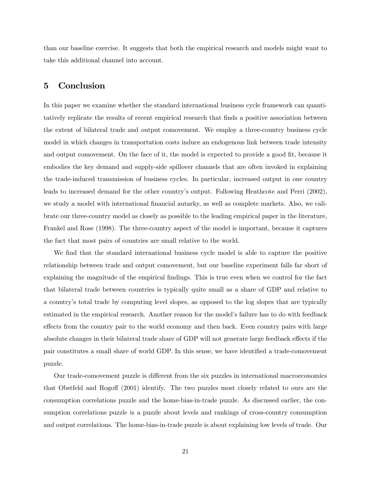than our baseline exercise. It suggests that both the empirical research and models might want to take this additional channel into account.

# 5 Conclusion

In this paper we examine whether the standard international business cycle framework can quantitatively replicate the results of recent empirical research that finds a positive association between the extent of bilateral trade and output comovement. We employ a three-country business cycle model in which changes in transportation costs induce an endogenous link between trade intensity and output comovement. On the face of it, the model is expected to provide a good fit, because it embodies the key demand and supply-side spillover channels that are often invoked in explaining the trade-induced transmission of business cycles. In particular, increased output in one country leads to increased demand for the other country's output. Following Heathcote and Perri (2002), we study a model with international financial autarky, as well as complete markets. Also, we calibrate our three-country model as closely as possible to the leading empirical paper in the literature, Frankel and Rose (1998). The three-country aspect of the model is important, because it captures the fact that most pairs of countries are small relative to the world.

We find that the standard international business cycle model is able to capture the positive relationship between trade and output comovement, but our baseline experiment falls far short of explaining the magnitude of the empirical findings. This is true even when we control for the fact that bilateral trade between countries is typically quite small as a share of GDP and relative to a country's total trade by computing level slopes, as opposed to the log slopes that are typically estimated in the empirical research. Another reason for the model's failure has to do with feedback effects from the country pair to the world economy and then back. Even country pairs with large absolute changes in their bilateral trade share of GDP will not generate large feedback effects if the pair constitutes a small share of world GDP. In this sense, we have identified a trade-comovement puzzle.

Our trade-comovement puzzle is different from the six puzzles in international macroeconomics that Obstfeld and Rogoff (2001) identify. The two puzzles most closely related to ours are the consumption correlations puzzle and the home-bias-in-trade puzzle. As discussed earlier, the consumption correlations puzzle is a puzzle about levels and rankings of cross-country consumption and output correlations. The home-bias-in-trade puzzle is about explaining low levels of trade. Our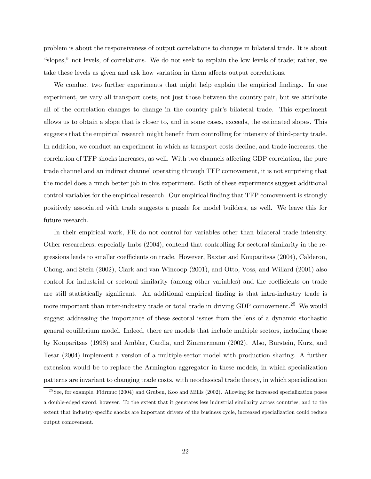problem is about the responsiveness of output correlations to changes in bilateral trade. It is about "slopes," not levels, of correlations. We do not seek to explain the low levels of trade; rather, we take these levels as given and ask how variation in them affects output correlations.

We conduct two further experiments that might help explain the empirical findings. In one experiment, we vary all transport costs, not just those between the country pair, but we attribute all of the correlation changes to change in the country pair's bilateral trade. This experiment allows us to obtain a slope that is closer to, and in some cases, exceeds, the estimated slopes. This suggests that the empirical research might benefit from controlling for intensity of third-party trade. In addition, we conduct an experiment in which as transport costs decline, and trade increases, the correlation of TFP shocks increases, as well. With two channels affecting GDP correlation, the pure trade channel and an indirect channel operating through TFP comovement, it is not surprising that the model does a much better job in this experiment. Both of these experiments suggest additional control variables for the empirical research. Our empirical finding that TFP comovement is strongly positively associated with trade suggests a puzzle for model builders, as well. We leave this for future research.

In their empirical work, FR do not control for variables other than bilateral trade intensity. Other researchers, especially Imbs (2004), contend that controlling for sectoral similarity in the regressions leads to smaller coefficients on trade. However, Baxter and Kouparitsas (2004), Calderon, Chong, and Stein (2002), Clark and van Wincoop (2001), and Otto, Voss, and Willard (2001) also control for industrial or sectoral similarity (among other variables) and the coefficients on trade are still statistically significant. An additional empirical finding is that intra-industry trade is more important than inter-industry trade or total trade in driving GDP comovement.<sup>25</sup> We would suggest addressing the importance of these sectoral issues from the lens of a dynamic stochastic general equilibrium model. Indeed, there are models that include multiple sectors, including those by Kouparitsas (1998) and Ambler, Cardia, and Zimmermann (2002). Also, Burstein, Kurz, and Tesar (2004) implement a version of a multiple-sector model with production sharing. A further extension would be to replace the Armington aggregator in these models, in which specialization patterns are invariant to changing trade costs, with neoclassical trade theory, in which specialization

 $25$ See, for example, Fidrmuc (2004) and Gruben, Koo and Millis (2002). Allowing for increased specialization poses a double-edged sword, however. To the extent that it generates less industrial similarity across countries, and to the extent that industry-specific shocks are important drivers of the business cycle, increased specialization could reduce output comovement.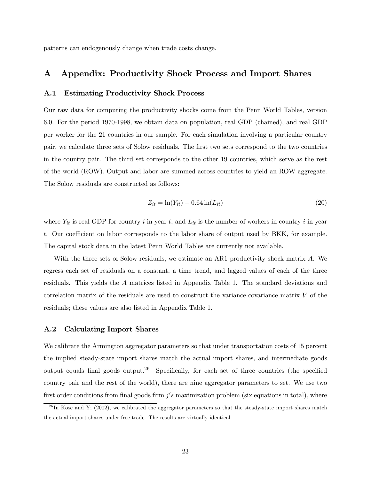patterns can endogenously change when trade costs change.

# A Appendix: Productivity Shock Process and Import Shares

# A.1 Estimating Productivity Shock Process

Our raw data for computing the productivity shocks come from the Penn World Tables, version 6.0. For the period 1970-1998, we obtain data on population, real GDP (chained), and real GDP per worker for the 21 countries in our sample. For each simulation involving a particular country pair, we calculate three sets of Solow residuals. The first two sets correspond to the two countries in the country pair. The third set corresponds to the other 19 countries, which serve as the rest of the world (ROW). Output and labor are summed across countries to yield an ROW aggregate. The Solow residuals are constructed as follows:

$$
Z_{it} = \ln(Y_{it}) - 0.64 \ln(L_{it})
$$
\n(20)

where  $Y_{it}$  is real GDP for country i in year t, and  $L_{it}$  is the number of workers in country i in year t. Our coefficient on labor corresponds to the labor share of output used by BKK, for example. The capital stock data in the latest Penn World Tables are currently not available.

With the three sets of Solow residuals, we estimate an AR1 productivity shock matrix A. We regress each set of residuals on a constant, a time trend, and lagged values of each of the three residuals. This yields the A matrices listed in Appendix Table 1. The standard deviations and correlation matrix of the residuals are used to construct the variance-covariance matrix  $V$  of the residuals; these values are also listed in Appendix Table 1.

# A.2 Calculating Import Shares

We calibrate the Armington aggregator parameters so that under transportation costs of 15 percent the implied steady-state import shares match the actual import shares, and intermediate goods output equals final goods output.<sup>26</sup> Specifically, for each set of three countries (the specified country pair and the rest of the world), there are nine aggregator parameters to set. We use two first order conditions from final goods firm  $j's$  maximization problem (six equations in total), where

 $^{26}$ In Kose and Yi (2002), we calibrated the aggregator parameters so that the steady-state import shares match the actual import shares under free trade. The results are virtually identical.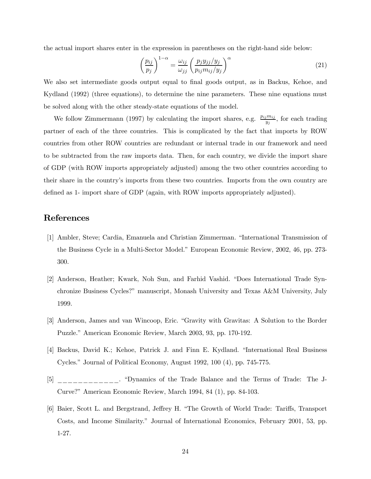the actual import shares enter in the expression in parentheses on the right-hand side below:

$$
\left(\frac{p_{ij}}{p_j}\right)^{1-\alpha} = \frac{\omega_{ij}}{\omega_{jj}} \left(\frac{p_j y_{jj}}{p_{ij} m_{ij}/y_j}\right)^{\alpha} \tag{21}
$$

We also set intermediate goods output equal to final goods output, as in Backus, Kehoe, and Kydland (1992) (three equations), to determine the nine parameters. These nine equations must be solved along with the other steady-state equations of the model.

We follow Zimmermann (1997) by calculating the import shares, e.g.  $\frac{p_{ij}m_{ij}}{y_j}$ , for each trading partner of each of the three countries. This is complicated by the fact that imports by ROW countries from other ROW countries are redundant or internal trade in our framework and need to be subtracted from the raw imports data. Then, for each country, we divide the import share of GDP (with ROW imports appropriately adjusted) among the two other countries according to their share in the country's imports from these two countries. Imports from the own country are defined as 1- import share of GDP (again, with ROW imports appropriately adjusted).

# References

- [1] Ambler, Steve; Cardia, Emanuela and Christian Zimmerman. "International Transmission of the Business Cycle in a Multi-Sector Model." European Economic Review, 2002, 46, pp. 273- 300.
- [2] Anderson, Heather; Kwark, Noh Sun, and Farhid Vashid. "Does International Trade Synchronize Business Cycles?" manuscript, Monash University and Texas A&M University, July 1999.
- [3] Anderson, James and van Wincoop, Eric. "Gravity with Gravitas: A Solution to the Border Puzzle." American Economic Review, March 2003, 93, pp. 170-192.
- [4] Backus, David K.; Kehoe, Patrick J. and Finn E. Kydland. "International Real Business Cycles." Journal of Political Economy, August 1992, 100 (4), pp. 745-775.
- [5] \_\_\_\_\_\_\_\_\_\_\_\_. "Dynamics of the Trade Balance and the Terms of Trade: The J-Curve?" American Economic Review, March 1994, 84 (1), pp. 84-103.
- [6] Baier, Scott L. and Bergstrand, Jeffrey H. "The Growth of World Trade: Tariffs, Transport Costs, and Income Similarity." Journal of International Economics, February 2001, 53, pp. 1-27.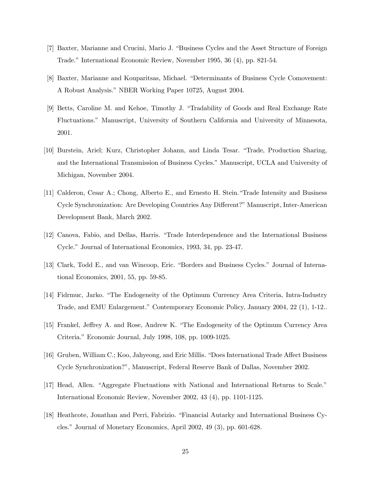- [7] Baxter, Marianne and Crucini, Mario J. "Business Cycles and the Asset Structure of Foreign Trade." International Economic Review, November 1995, 36 (4), pp. 821-54.
- [8] Baxter, Marianne and Kouparitsas, Michael. "Determinants of Business Cycle Comovement: A Robust Analysis." NBER Working Paper 10725, August 2004.
- [9] Betts, Caroline M. and Kehoe, Timothy J. "Tradability of Goods and Real Exchange Rate Fluctuations." Manuscript, University of Southern California and University of Minnesota, 2001.
- [10] Burstein, Ariel; Kurz, Christopher Johann, and Linda Tesar. "Trade, Production Sharing, and the International Transmission of Business Cycles." Manuscript, UCLA and University of Michigan, November 2004.
- [11] Calderon, Cesar A.; Chong, Alberto E., and Ernesto H. Stein."Trade Intensity and Business Cycle Synchronization: Are Developing Countries Any Different?" Manuscript, Inter-American Development Bank, March 2002.
- [12] Canova, Fabio, and Dellas, Harris. "Trade Interdependence and the International Business Cycle." Journal of International Economics, 1993, 34, pp. 23-47.
- [13] Clark, Todd E., and van Wincoop, Eric. "Borders and Business Cycles." Journal of International Economics, 2001, 55, pp. 59-85.
- [14] Fidrmuc, Jarko. "The Endogeneity of the Optimum Currency Area Criteria, Intra-Industry Trade, and EMU Enlargement." Contemporary Economic Policy, January 2004, 22 (1), 1-12..
- [15] Frankel, Jeffrey A. and Rose, Andrew K. "The Endogeneity of the Optimum Currency Area Criteria." Economic Journal, July 1998, 108, pp. 1009-1025.
- [16] Gruben, William C.; Koo, Jahyeong, and Eric Millis. "Does International Trade Affect Business Cycle Synchronization?", Manuscript, Federal Reserve Bank of Dallas, November 2002.
- [17] Head, Allen. "Aggregate Fluctuations with National and International Returns to Scale." International Economic Review, November 2002, 43 (4), pp. 1101-1125.
- [18] Heathcote, Jonathan and Perri, Fabrizio. "Financial Autarky and International Business Cycles." Journal of Monetary Economics, April 2002, 49 (3), pp. 601-628.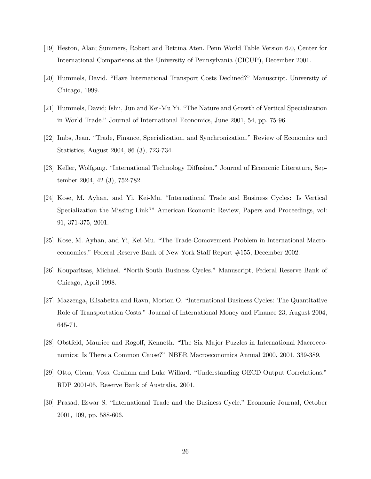- [19] Heston, Alan; Summers, Robert and Bettina Aten. Penn World Table Version 6.0, Center for International Comparisons at the University of Pennsylvania (CICUP), December 2001.
- [20] Hummels, David. "Have International Transport Costs Declined?" Manuscript. University of Chicago, 1999.
- [21] Hummels, David; Ishii, Jun and Kei-Mu Yi. "The Nature and Growth of Vertical Specialization in World Trade." Journal of International Economics, June 2001, 54, pp. 75-96.
- [22] Imbs, Jean. "Trade, Finance, Specialization, and Synchronization." Review of Economics and Statistics, August 2004, 86 (3), 723-734.
- [23] Keller, Wolfgang. "International Technology Diffusion." Journal of Economic Literature, September 2004, 42 (3), 752-782.
- [24] Kose, M. Ayhan, and Yi, Kei-Mu. "International Trade and Business Cycles: Is Vertical Specialization the Missing Link?" American Economic Review, Papers and Proceedings, vol: 91, 371-375, 2001.
- [25] Kose, M. Ayhan, and Yi, Kei-Mu. "The Trade-Comovement Problem in International Macroeconomics." Federal Reserve Bank of New York Staff Report #155, December 2002.
- [26] Kouparitsas, Michael. "North-South Business Cycles." Manuscript, Federal Reserve Bank of Chicago, April 1998.
- [27] Mazzenga, Elisabetta and Ravn, Morton O. "International Business Cycles: The Quantitative Role of Transportation Costs." Journal of International Money and Finance 23, August 2004, 645-71.
- [28] Obstfeld, Maurice and Rogoff, Kenneth. "The Six Major Puzzles in International Macroeconomics: Is There a Common Cause?" NBER Macroeconomics Annual 2000, 2001, 339-389.
- [29] Otto, Glenn; Voss, Graham and Luke Willard. "Understanding OECD Output Correlations." RDP 2001-05, Reserve Bank of Australia, 2001.
- [30] Prasad, Eswar S. "International Trade and the Business Cycle." Economic Journal, October 2001, 109, pp. 588-606.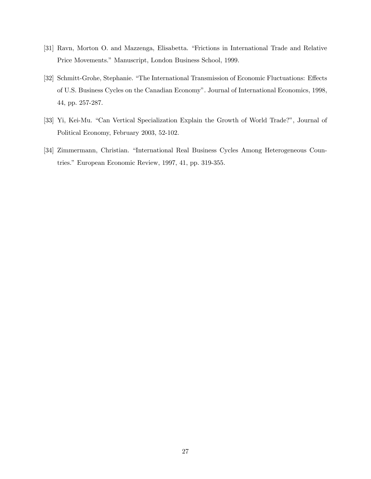- [31] Ravn, Morton O. and Mazzenga, Elisabetta. "Frictions in International Trade and Relative Price Movements." Manuscript, London Business School, 1999.
- [32] Schmitt-Grohe, Stephanie. "The International Transmission of Economic Fluctuations: Effects of U.S. Business Cycles on the Canadian Economy". Journal of International Economics, 1998, 44, pp. 257-287.
- [33] Yi, Kei-Mu. "Can Vertical Specialization Explain the Growth of World Trade?", Journal of Political Economy, February 2003, 52-102.
- [34] Zimmermann, Christian. "International Real Business Cycles Among Heterogeneous Countries." European Economic Review, 1997, 41, pp. 319-355.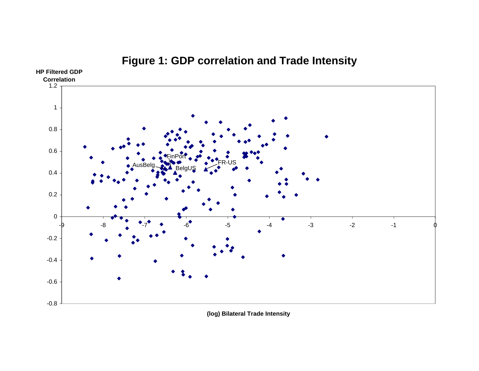

# **Figure 1: GDP correlation and Trade Intensity**

**(log) Bilateral Trade Intensity**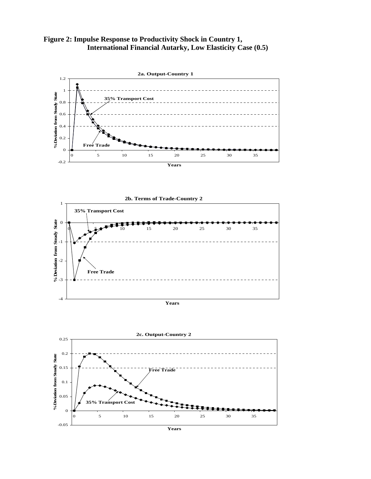**Figure 2: Impulse Response to Productivity Shock in Country 1, International Financial Autarky, Low Elasticity Case (0.5)** 





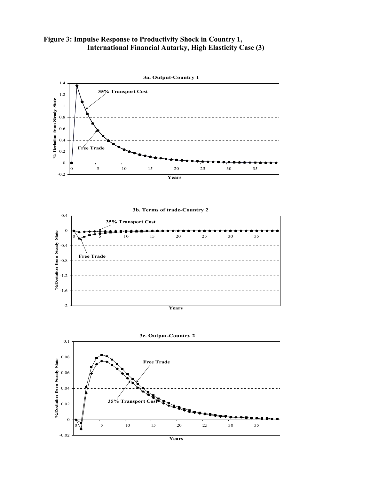**Figure 3: Impulse Response to Productivity Shock in Country 1, International Financial Autarky, High Elasticity Case (3)** 



**3b. Terms of trade-Country 2** -2 -1.6 -1.2 -0.8 -0.4  $\mathbf 0$ 0.4  $0 \times 5 = 5$  10 15 20 25 30 35 **Years % Deviation from Steady State Free Trade 35% Transport Cost**

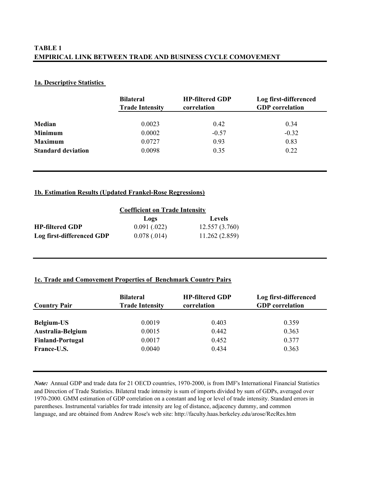# **TABLE 1 EMPIRICAL LINK BETWEEN TRADE AND BUSINESS CYCLE COMOVEMENT**

# **1a. Descriptive Statistics**

|                           | <b>Bilateral</b><br><b>Trade Intensity</b> | <b>HP-filtered GDP</b><br>correlation | Log first-differenced<br><b>GDP</b> correlation |
|---------------------------|--------------------------------------------|---------------------------------------|-------------------------------------------------|
| Median                    | 0.0023                                     | 0.42                                  | 0.34                                            |
| <b>Minimum</b>            | 0.0002                                     | $-0.57$                               | $-0.32$                                         |
| <b>Maximum</b>            | 0.0727                                     | 0.93                                  | 0.83                                            |
| <b>Standard deviation</b> | 0.0098                                     | 0.35                                  | 0.22                                            |
|                           |                                            |                                       |                                                 |

# **1b. Estimation Results (Updated Frankel-Rose Regressions)**

|                           | <b>Coefficient on Trade Intensity</b> |                |
|---------------------------|---------------------------------------|----------------|
|                           | Logs                                  | <b>Levels</b>  |
| <b>HP-filtered GDP</b>    | 0.091(0.022)                          | 12.557(3.760)  |
| Log first-differenced GDP | 0.078(.014)                           | 11.262 (2.859) |

# **1c. Trade and Comovement Properties of Benchmark Country Pairs**

| <b>Country Pair</b>     | <b>Bilateral</b><br><b>Trade Intensity</b> | <b>HP-filtered GDP</b><br>correlation | Log first-differenced<br><b>GDP</b> correlation |
|-------------------------|--------------------------------------------|---------------------------------------|-------------------------------------------------|
|                         |                                            |                                       |                                                 |
| <b>Belgium-US</b>       | 0.0019                                     | 0.403                                 | 0.359                                           |
| Australia-Belgium       | 0.0015                                     | 0.442                                 | 0.363                                           |
| <b>Finland-Portugal</b> | 0.0017                                     | 0.452                                 | 0.377                                           |
| France-U.S.             | 0.0040                                     | 0.434                                 | 0.363                                           |
|                         |                                            |                                       |                                                 |

*Note:* Annual GDP and trade data for 21 OECD countries, 1970-2000, is from IMF's International Financial Statistics and Direction of Trade Statistics. Bilateral trade intensity is sum of imports divided by sum of GDPs, averaged over 1970-2000. GMM estimation of GDP correlation on a constant and log or level of trade intensity. Standard errors in parentheses. Instrumental variables for trade intensity are log of distance, adjacency dummy, and common language, and are obtained from Andrew Rose's web site: http://faculty.haas.berkeley.edu/arose/RecRes.htm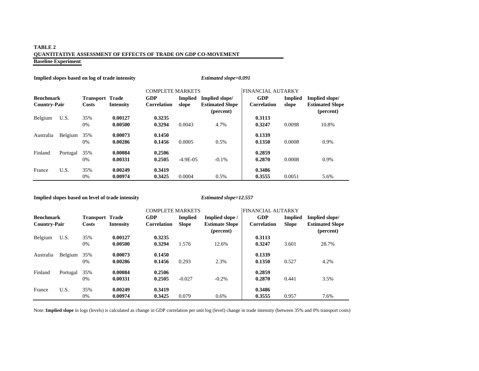# **TABLE 2 QUANTITATIVE ASSESSMENT OF EFFECTS OF TRADE ON GDP CO-MOVEMENT Baseline Experiment**

**Implied slopes based on log of trade intensity** *Estimated slope=0.091*

|                     |          |                        |                  | <b>COMPLETE MARKETS</b> |             |                        | FINANCIAL AUTARKY |                |                        |  |  |
|---------------------|----------|------------------------|------------------|-------------------------|-------------|------------------------|-------------------|----------------|------------------------|--|--|
| <b>Benchmark</b>    |          | <b>Transport Trade</b> |                  | <b>GDP</b>              | Implied     | Implied slope/         | <b>GDP</b>        | <b>Implied</b> | Implied slope/         |  |  |
| <b>Country-Pair</b> |          | Costs                  | <b>Intensity</b> | Correlation             | slope       | <b>Estimated Slope</b> | Correlation       | slope          | <b>Estimated Slope</b> |  |  |
|                     |          |                        |                  |                         |             | (percent)              |                   |                | (percent)              |  |  |
| Belgium             | U.S.     | 35%                    | 0.00127          | 0.3235                  |             |                        | 0.3113            |                |                        |  |  |
|                     |          | $0\%$                  | 0.00500          | 0.3294                  | 0.0043      | 4.7%                   | 0.3247            | 0.0098         | 10.8%                  |  |  |
| Australia           | Belgium  | 35%                    | 0.00073          | 0.1450                  |             |                        | 0.1339            |                |                        |  |  |
|                     |          | $0\%$                  | 0.00286          | 0.1456                  | 0.0005      | 0.5%                   | 0.1350            | 0.0008         | 0.9%                   |  |  |
| Finland             | Portugal | 35%                    | 0.00084          | 0.2506                  |             |                        | 0.2859            |                |                        |  |  |
|                     |          | 0%                     | 0.00331          | 0.2505                  | $-4.9E-0.5$ | $-0.1\%$               | 0.2870            | 0.0008         | 0.9%                   |  |  |
| France              | U.S.     | 35%                    | 0.00249          | 0.3419                  |             |                        | 0.3486            |                |                        |  |  |
|                     |          | 0%                     | 0.00974          | 0.3425                  | 0.0004      | 0.5%                   | 0.3555            | 0.0051         | 5.6%                   |  |  |

**Implied slopes based on level of trade intensity** *Estimated slope=12.557*

|                     |          |                        |                  | <b>COMPLETE MARKETS</b> |              |                       | <b>FINANCIAL AUTARKY</b> |                |                        |  |  |
|---------------------|----------|------------------------|------------------|-------------------------|--------------|-----------------------|--------------------------|----------------|------------------------|--|--|
| <b>Benchmark</b>    |          | <b>Transport Trade</b> |                  | <b>GDP</b>              | Implied      | Implied slope /       | <b>GDP</b>               | <b>Implied</b> | Implied slope/         |  |  |
| <b>Country-Pair</b> |          | Costs                  | <b>Intensity</b> | <b>Correlation</b>      | <b>Slope</b> | <b>Estimate Slope</b> | Correlation              | <b>Slope</b>   | <b>Estimated Slope</b> |  |  |
|                     |          |                        |                  |                         |              | (percent)             |                          |                | (percent)              |  |  |
| Belgium             | U.S.     | 35%                    | 0.00127          | 0.3235                  |              |                       | 0.3113                   |                |                        |  |  |
|                     |          | 0%                     | 0.00500          | 0.3294                  | 1.576        | 12.6%                 | 0.3247                   | 3.601          | 28.7%                  |  |  |
| Australia           | Belgium  | 35%                    | 0.00073          | 0.1450                  |              |                       | 0.1339                   |                |                        |  |  |
|                     |          | 0%                     | 0.00286          | 0.1456                  | 0.293        | 2.3%                  | 0.1350                   | 0.527          | 4.2%                   |  |  |
| Finland             | Portugal | 35%                    | 0.00084          | 0.2506                  |              |                       | 0.2859                   |                |                        |  |  |
|                     |          | 0%                     | 0.00331          | 0.2505                  | $-0.027$     | $-0.2%$               | 0.2870                   | 0.441          | 3.5%                   |  |  |
| France              | U.S.     | 35%                    | 0.00249          | 0.3419                  |              |                       | 0.3486                   |                |                        |  |  |
|                     |          | 0%                     | 0.00974          | 0.3425                  | 0.079        | 0.6%                  | 0.3555                   | 0.957          | 7.6%                   |  |  |

Note: **Implied slope** in logs (levels) is calculated as change in GDP correlation per unit log (level) change in trade intensity (between 35% and 0% transport costs)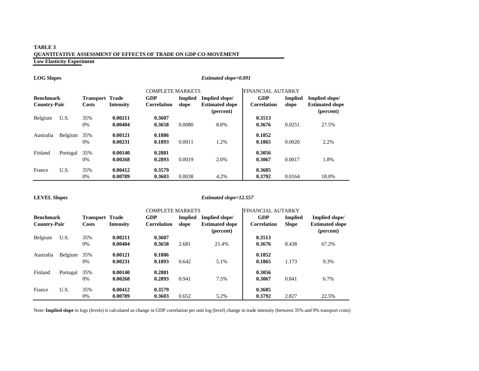### **TABLE 3 QUANTITATIVE ASSESSMENT OF EFFECTS OF TRADE ON GDP CO-MOVEMENT Low Elasticity Experiment**

#### **LOG Slopes** *Estimated slope=0.091*

|                     |          |                        |                  | <b>COMPLETE MARKETS</b> |         |                        | <b>FINANCIAL AUTARKY</b> |                |                        |  |
|---------------------|----------|------------------------|------------------|-------------------------|---------|------------------------|--------------------------|----------------|------------------------|--|
| <b>Benchmark</b>    |          | <b>Transport Trade</b> |                  | <b>GDP</b>              | Implied | Implied slope/         | <b>GDP</b>               | <b>Implied</b> | Implied slope/         |  |
| <b>Country-Pair</b> |          | Costs                  | <b>Intensity</b> | <b>Correlation</b>      | slope   | <b>Estimated slope</b> | <b>Correlation</b>       | slope          | <b>Estimated slope</b> |  |
|                     |          |                        |                  |                         |         | (percent)              |                          |                | (percent)              |  |
| Belgium             | U.S.     | 35%                    | 0.00211          | 0.3607                  |         |                        | 0.3513                   |                |                        |  |
|                     |          | 0%                     | 0.00404          | 0.3658                  | 0.0080  | 8.8%                   | 0.3676                   | 0.0251         | 27.5%                  |  |
| Australia           | Belgium  | 35%                    | 0.00121          | 0.1886                  |         |                        | 0.1852                   |                |                        |  |
|                     |          | 0%                     | 0.00231          | 0.1893                  | 0.0011  | 1.2%                   | 0.1865                   | 0.0020         | 2.2%                   |  |
| Finland             | Portugal | 35%                    | 0.00140          | 0.2881                  |         |                        | 0.3056                   |                |                        |  |
|                     |          | 0%                     | 0.00268          | 0.2893                  | 0.0019  | 2.0%                   | 0.3067                   | 0.0017         | 1.8%                   |  |
| France              | U.S.     | 35%                    | 0.00412          | 0.3579                  |         |                        | 0.3685                   |                |                        |  |
|                     |          | 0%                     | 0.00789          | 0.3603                  | 0.0038  | 4.2%                   | 0.3792                   | 0.0164         | 18.0%                  |  |

## **LEVEL Slopes** *Estimated slope=12.557*

|                     |          |                        |                  | <b>COMPLETE MARKETS</b>                        |       |                        | FINANCIAL AUTARKY  |                |                        |  |
|---------------------|----------|------------------------|------------------|------------------------------------------------|-------|------------------------|--------------------|----------------|------------------------|--|
| <b>Benchmark</b>    |          | <b>Transport Trade</b> |                  | <b>GDP</b><br><b>Implied</b><br>Implied slope/ |       |                        | <b>GDP</b>         | <b>Implied</b> | Implied slope/         |  |
| <b>Country-Pair</b> |          | Costs                  | <b>Intensity</b> | <b>Correlation</b>                             | slope | <b>Estimated slope</b> | <b>Correlation</b> | <b>Slope</b>   | <b>Estimated slope</b> |  |
|                     |          |                        |                  |                                                |       | (percent)              |                    |                | (percent)              |  |
| Belgium             | U.S.     | 35%                    | 0.00211          | 0.3607                                         |       |                        | 0.3513             |                |                        |  |
|                     |          | 0%                     | 0.00404          | 0.3658                                         | 2.681 | 21.4%                  | 0.3676             | 8.438          | 67.2%                  |  |
| Australia           | Belgium  | 35%                    | 0.00121          | 0.1886                                         |       |                        | 0.1852             |                |                        |  |
|                     |          | 0%                     | 0.00231          | 0.1893                                         | 0.642 | 5.1%                   | 0.1865             | 1.173          | 9.3%                   |  |
| Finland             | Portugal | 35%                    | 0.00140          | 0.2881                                         |       |                        | 0.3056             |                |                        |  |
|                     |          | 0%                     | 0.00268          | 0.2893                                         | 0.941 | 7.5%                   | 0.3067             | 0.841          | 6.7%                   |  |
| France              | U.S.     | 35%                    | 0.00412          | 0.3579                                         |       |                        | 0.3685             |                |                        |  |
|                     |          | 0%                     | 0.00789          | 0.3603                                         | 0.652 | 5.2%                   | 0.3792             | 2.827          | 22.5%                  |  |

Note: **Implied slope** in logs (levels) is calculated as change in GDP correlation per unit log (level) change in trade intensity (between 35% and 0% transport costs)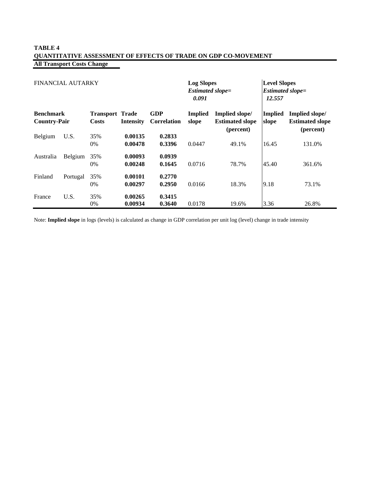# **TABLE 4 QUANTITATIVE ASSESSMENT OF EFFECTS OF TRADE ON GDP CO-MOVEMENT All Transport Costs Change**

| <b>FINANCIAL AUTARKY</b>                |          |                                 |                    |                                  | <b>Log Slopes</b><br><b>Estimated slope=</b><br>0.091 |                                                       | <b>Level Slopes</b><br><b>Estimated slope=</b><br>12.557 |                                                       |  |  |
|-----------------------------------------|----------|---------------------------------|--------------------|----------------------------------|-------------------------------------------------------|-------------------------------------------------------|----------------------------------------------------------|-------------------------------------------------------|--|--|
| <b>Benchmark</b><br><b>Country-Pair</b> |          | <b>Transport Trade</b><br>Costs | <b>Intensity</b>   | <b>GDP</b><br><b>Correlation</b> |                                                       | Implied slope/<br><b>Estimated slope</b><br>(percent) | <b>Implied</b><br>slope                                  | Implied slope/<br><b>Estimated slope</b><br>(percent) |  |  |
| Belgium                                 | U.S.     | 35%<br>0%                       | 0.00135<br>0.00478 | 0.2833<br>0.3396                 | 0.0447                                                | 49.1%                                                 | 16.45                                                    | 131.0%                                                |  |  |
| Australia                               | Belgium  | 35%<br>0%                       | 0.00093<br>0.00248 | 0.0939<br>0.1645                 | 0.0716                                                | 78.7%                                                 | 45.40                                                    | 361.6%                                                |  |  |
| Finland                                 | Portugal | 35%<br>0%                       | 0.00101<br>0.00297 | 0.2770<br>0.2950                 | 0.0166                                                | 18.3%                                                 | 9.18                                                     | 73.1%                                                 |  |  |
| France                                  | U.S.     | 35%<br>0%                       | 0.00265<br>0.00934 | 0.3415<br>0.3640                 | 0.0178                                                | 19.6%                                                 | 3.36                                                     | 26.8%                                                 |  |  |

Note: **Implied slope** in logs (levels) is calculated as change in GDP correlation per unit log (level) change in trade intensity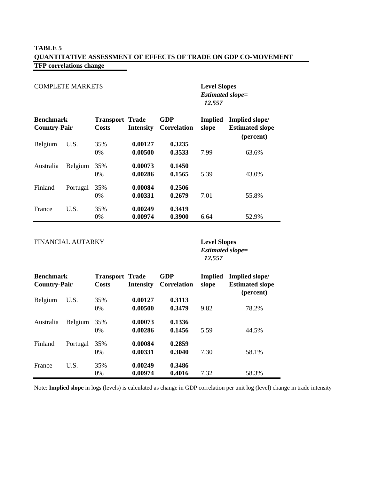# **TABLE 5 QUANTITATIVE ASSESSMENT OF EFFECTS OF TRADE ON GDP CO-MOVEMENT TFP correlations change**

# COMPLETE MARKETS **Level Slopes**

*Estimated slope= 12.557*

| <b>Benchmark</b><br><b>Country-Pair</b> |                | <b>Transport Trade</b><br>Costs | Intensity          | GDP<br><b>Correlation</b> | Implied<br>slope | Implied slope/<br><b>Estimated slope</b><br>(percent) |  |  |
|-----------------------------------------|----------------|---------------------------------|--------------------|---------------------------|------------------|-------------------------------------------------------|--|--|
| Belgium                                 | U.S.           | 35%<br>$0\%$                    | 0.00127<br>0.00500 | 0.3235<br>0.3533          | 7.99             | 63.6%                                                 |  |  |
| Australia                               | <b>Belgium</b> | 35%<br>$0\%$                    | 0.00073<br>0.00286 | 0.1450<br>0.1565          | 5.39             | 43.0%                                                 |  |  |
| Finland                                 | Portugal       | 35%<br>0%                       | 0.00084<br>0.00331 | 0.2506<br>0.2679          | 7.01             | 55.8%                                                 |  |  |
| France                                  | U.S.           | 35%<br>$0\%$                    | 0.00249<br>0.00974 | 0.3419<br>0.3900          | 6.64             | 52.9%                                                 |  |  |

# FINANCIAL AUTARKY **Level Slopes**

*Estimated slope= 12.557*

| <b>Benchmark</b><br><b>Country-Pair</b> |                | <b>Transport Trade</b><br>Costs | Intensity          | GDP<br><b>Correlation</b> | Implied<br>slope | Implied slope/<br><b>Estimated slope</b><br>(percent) |  |  |
|-----------------------------------------|----------------|---------------------------------|--------------------|---------------------------|------------------|-------------------------------------------------------|--|--|
| Belgium                                 | U.S.           | 35%<br>$0\%$                    | 0.00127<br>0.00500 | 0.3113<br>0.3479          | 9.82             | 78.2%                                                 |  |  |
| Australia                               | <b>Belgium</b> | 35%<br>$0\%$                    | 0.00073<br>0.00286 | 0.1336<br>0.1456          | 5.59             | 44.5%                                                 |  |  |
| Finland                                 | Portugal       | 35%<br>$0\%$                    | 0.00084<br>0.00331 | 0.2859<br>0.3040          | 7.30             | 58.1%                                                 |  |  |
| France                                  | U.S.           | 35%<br>$0\%$                    | 0.00249<br>0.00974 | 0.3486<br>0.4016          | 7.32             | 58.3%                                                 |  |  |

Note: **Implied slope** in logs (levels) is calculated as change in GDP correlation per unit log (level) change in trade intensity